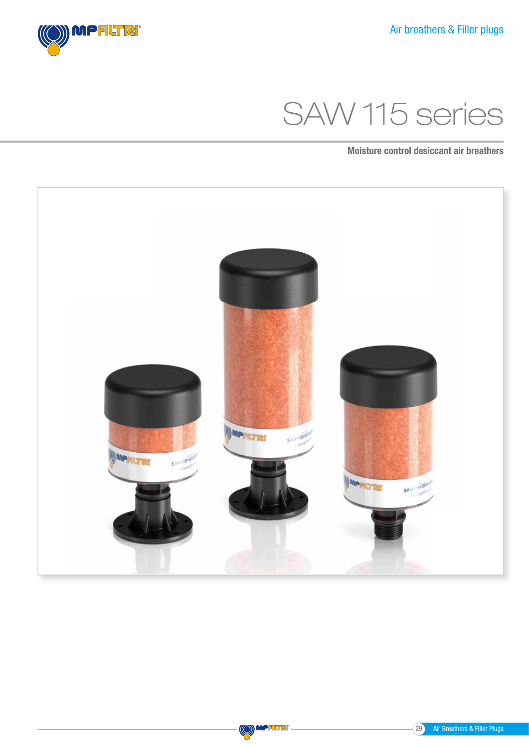SAW 115 series

Moisture control desiccant air breathers





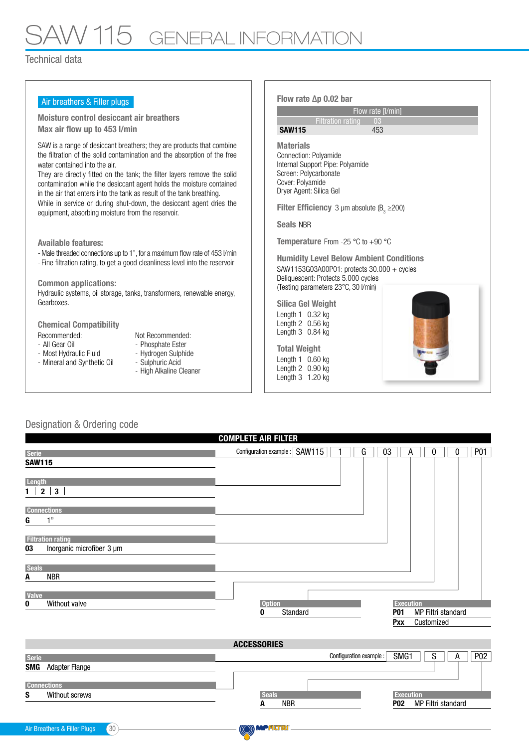## SAW 115 GENERAL INFORMATION

Technical data

| Air breathers & Filler plugs                                                                                                                                                                                                                                                                                                                                                                                                                                                                                                                | Flow rate $\Delta p$ 0.02 bar                                                                                                                                                                                                                                        |  |  |
|---------------------------------------------------------------------------------------------------------------------------------------------------------------------------------------------------------------------------------------------------------------------------------------------------------------------------------------------------------------------------------------------------------------------------------------------------------------------------------------------------------------------------------------------|----------------------------------------------------------------------------------------------------------------------------------------------------------------------------------------------------------------------------------------------------------------------|--|--|
| Moisture control desiccant air breathers<br>Max air flow up to 453 I/min                                                                                                                                                                                                                                                                                                                                                                                                                                                                    | Flow rate [I/min]<br><b>Filtration rating</b><br>03<br><b>SAW115</b><br>453                                                                                                                                                                                          |  |  |
| SAW is a range of desiccant breathers; they are products that combine<br>the filtration of the solid contamination and the absorption of the free<br>water contained into the air.<br>They are directly fitted on the tank; the filter layers remove the solid<br>contamination while the desiccant agent holds the moisture contained<br>in the air that enters into the tank as result of the tank breathing.<br>While in service or during shut-down, the desiccant agent dries the<br>equipment, absorbing moisture from the reservoir. | <b>Materials</b><br>Connection: Polvamide<br>Internal Support Pipe: Polyamide<br>Screen: Polycarbonate<br>Cover: Polyamide<br>Dryer Agent: Silica Gel<br><b>Filter Efficiency</b> 3 $\mu$ m absolute (B <sub>3</sub> $\geq$ 200)<br><b>Seals NBR</b>                 |  |  |
| <b>Available features:</b><br>- Male threaded connections up to 1", for a maximum flow rate of 453 l/min<br>- Fine filtration rating, to get a good cleanliness level into the reservoir<br><b>Common applications:</b><br>Hydraulic systems, oil storage, tanks, transformers, renewable energy,<br>Gearboxes.                                                                                                                                                                                                                             | <b>Temperature</b> From -25 $\degree$ C to +90 $\degree$ C<br><b>Humidity Level Below Ambient Conditions</b><br>SAW1153G03A00P01: protects 30.000 + cycles<br>Deliquescent: Protects 5.000 cycles<br>(Testing parameters 23°C, 30 I/min)<br><b>Silica Gel Weight</b> |  |  |
| <b>Chemical Compatibility</b><br>Not Recommended:<br>Recommended:<br>- All Gear Oil<br>- Phosphate Ester<br>- Hydrogen Sulphide<br>- Most Hydraulic Fluid<br>- Sulphuric Acid<br>- Mineral and Synthetic Oil<br>- High Alkaline Cleaner                                                                                                                                                                                                                                                                                                     | Length $1$ 0.32 kg<br>Length $2$ 0.56 kg<br>Length $3$ 0.84 kg<br><b>Total Weight</b><br>Length $1\quad0.60$ kg<br>Length $2$ 0.90 kg<br>Length 3 1.20 kg                                                                                                            |  |  |

## Designation & Ordering code

| <b>COMPLETE AIR FILTER</b>                      |                                           |                  |            |                     |                 |  |
|-------------------------------------------------|-------------------------------------------|------------------|------------|---------------------|-----------------|--|
| <b>Serie</b>                                    | Configuration example : SAW115<br>G<br>03 |                  | А          | 0<br>0              | <b>P01</b>      |  |
| <b>SAW115</b>                                   |                                           |                  |            |                     |                 |  |
|                                                 |                                           |                  |            |                     |                 |  |
| Length<br>$2 \mid 3 \mid$<br>1 <sup>1</sup>     |                                           |                  |            |                     |                 |  |
|                                                 |                                           |                  |            |                     |                 |  |
| <b>Connections</b>                              |                                           |                  |            |                     |                 |  |
| 1"<br>G                                         |                                           |                  |            |                     |                 |  |
| <b>Filtration rating</b>                        |                                           |                  |            |                     |                 |  |
| Inorganic microfiber 3 µm<br>03                 |                                           |                  |            |                     |                 |  |
|                                                 |                                           |                  |            |                     |                 |  |
| <b>Seals</b><br><b>NBR</b><br>A                 |                                           |                  |            |                     |                 |  |
|                                                 |                                           |                  |            |                     |                 |  |
| <b>Valve</b><br>Without valve<br>0              | <b>Option</b>                             | <b>Execution</b> |            |                     |                 |  |
|                                                 | Standard<br>0                             | <b>P01</b>       |            | MP Filtri standard  |                 |  |
|                                                 |                                           | <b>Pxx</b>       | Customized |                     |                 |  |
|                                                 |                                           |                  |            |                     |                 |  |
|                                                 | <b>ACCESSORIES</b>                        |                  |            |                     |                 |  |
| <b>Serie</b>                                    | Configuration example :                   | SMG1             |            | $\overline{s}$<br>A | P <sub>02</sub> |  |
| <b>Adapter Flange</b><br><b>SMG</b>             |                                           |                  |            |                     |                 |  |
| <b>Connections</b>                              |                                           |                  |            |                     |                 |  |
| S<br>Without screws                             | <b>Seals</b>                              | <b>Execution</b> |            |                     |                 |  |
|                                                 | <b>NBR</b><br>А                           | <b>P02</b>       |            | MP Filtri standard  |                 |  |
|                                                 |                                           |                  |            |                     |                 |  |
| 30 <sup>°</sup><br>Air Breathers & Filler Plugs | (O) MPALTR                                |                  |            |                     |                 |  |